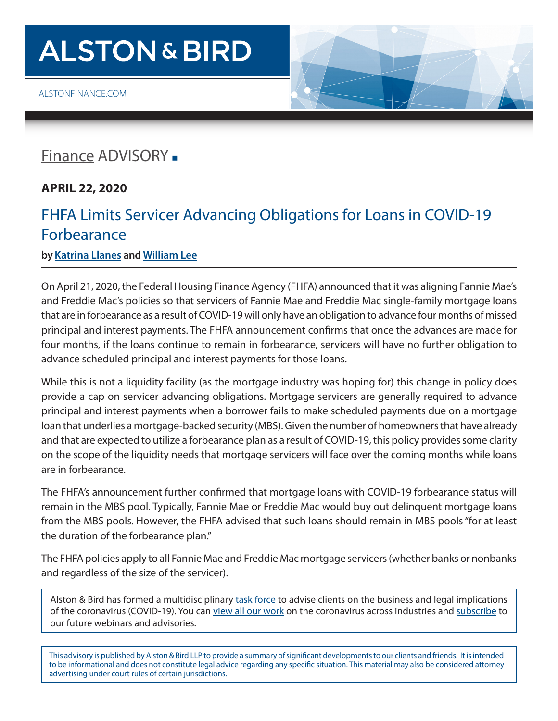# **ALSTON & BIRD**

[ALSTONFINANCE.COM](http://alstonfinance.com)

### [Finance](http://www.alston.com/services/corporate-finance/finance/) ADVISORY -

**APRIL 22, 2020** 

### FHFA Limits Servicer Advancing Obligations for Loans in COVID-19 Forbearance

#### **by [Katrina Llanes](https://www.alston.com/en/professionals/l/llanes-katrina) and [William Lee](https://www.alston.com/en/professionals/l/lee-william)**

On April 21, 2020, the Federal Housing Finance Agency (FHFA) announced that it was aligning Fannie Mae's and Freddie Mac's policies so that servicers of Fannie Mae and Freddie Mac single-family mortgage loans that are in forbearance as a result of COVID-19 will only have an obligation to advance four months of missed principal and interest payments. The FHFA announcement confirms that once the advances are made for four months, if the loans continue to remain in forbearance, servicers will have no further obligation to advance scheduled principal and interest payments for those loans.

While this is not a liquidity facility (as the mortgage industry was hoping for) this change in policy does provide a cap on servicer advancing obligations. Mortgage servicers are generally required to advance principal and interest payments when a borrower fails to make scheduled payments due on a mortgage loan that underlies a mortgage-backed security (MBS). Given the number of homeowners that have already and that are expected to utilize a forbearance plan as a result of COVID-19, this policy provides some clarity on the scope of the liquidity needs that mortgage servicers will face over the coming months while loans are in forbearance.

The FHFA's announcement further confirmed that mortgage loans with COVID-19 forbearance status will remain in the MBS pool. Typically, Fannie Mae or Freddie Mac would buy out delinquent mortgage loans from the MBS pools. However, the FHFA advised that such loans should remain in MBS pools "for at least the duration of the forbearance plan."

The FHFA policies apply to all Fannie Mae and Freddie Mac mortgage servicers (whether banks or nonbanks and regardless of the size of the servicer).

Alston & Bird has formed a multidisciplinary [task force](https://www.alston.com/en/resources/coronavirus/overview) to advise clients on the business and legal implications of the coronavirus (COVID-19). You can [view all our work](https://www.alston.com/en/insights/?keyword=Coronavirus&reload=false&scroll=499.7685546875) on the coronavirus across industries and [subscribe](https://www.alston.com/en/resources/subscriptions-form) to our future webinars and advisories.

This advisory is published by Alston & Bird LLP to provide a summary of significant developments to our clients and friends. It is intended to be informational and does not constitute legal advice regarding any specific situation. This material may also be considered attorney advertising under court rules of certain jurisdictions.